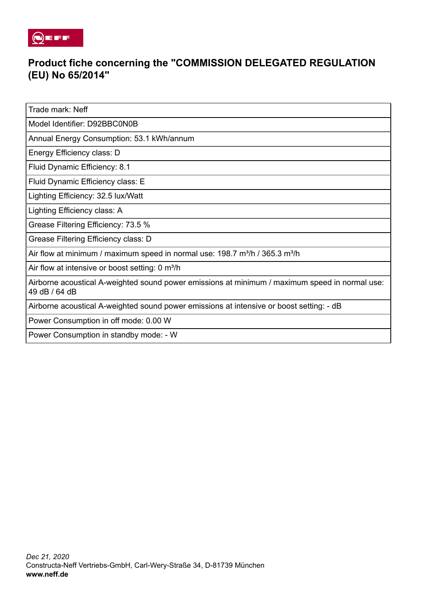

## **Product fiche concerning the "COMMISSION DELEGATED REGULATION (EU) No 65/2014"**

Trade mark: Neff

Model Identifier: D92BBC0N0B

Annual Energy Consumption: 53.1 kWh/annum

Energy Efficiency class: D

Fluid Dynamic Efficiency: 8.1

Fluid Dynamic Efficiency class: E

Lighting Efficiency: 32.5 lux/Watt

Lighting Efficiency class: A

Grease Filtering Efficiency: 73.5 %

Grease Filtering Efficiency class: D

Air flow at minimum / maximum speed in normal use: 198.7 m<sup>3</sup>/h / 365.3 m<sup>3</sup>/h

Air flow at intensive or boost setting: 0 m<sup>3</sup>/h

Airborne acoustical A-weighted sound power emissions at minimum / maximum speed in normal use: 49 dB / 64 dB

Airborne acoustical A-weighted sound power emissions at intensive or boost setting: - dB

Power Consumption in off mode: 0.00 W

Power Consumption in standby mode: - W